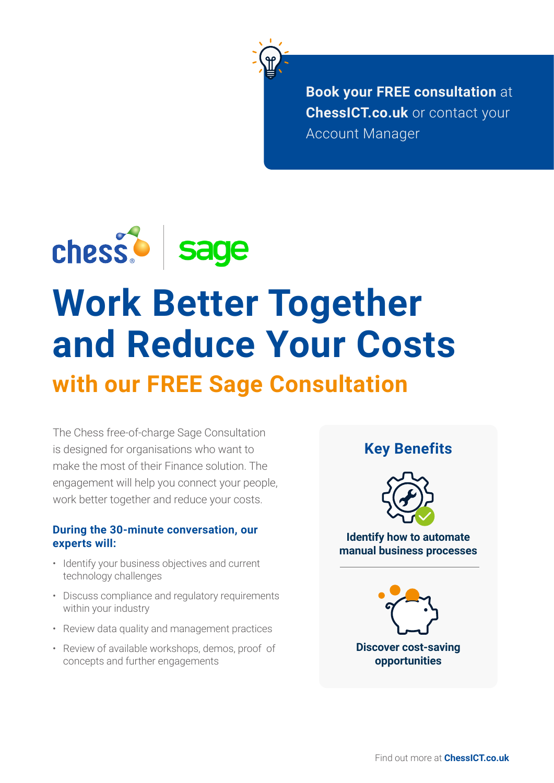

**Book your FREE consultation** at **ChessICT.co.uk** or contact your Account Manager



# **Work Better Together and Reduce Your Costs**

# **with our FREE Sage Consultation**

The Chess free-of-charge Sage Consultation is designed for organisations who want to make the most of their Finance solution. The engagement will help you connect your people, work better together and reduce your costs.

### **During the 30-minute conversation, our experts will:**

- Identify your business objectives and current technology challenges
- Discuss compliance and regulatory requirements within your industry
- Review data quality and management practices
- Review of available workshops, demos, proof of concepts and further engagements

**Key Benefits**



**Identify how to automate manual business processes**



**opportunities**